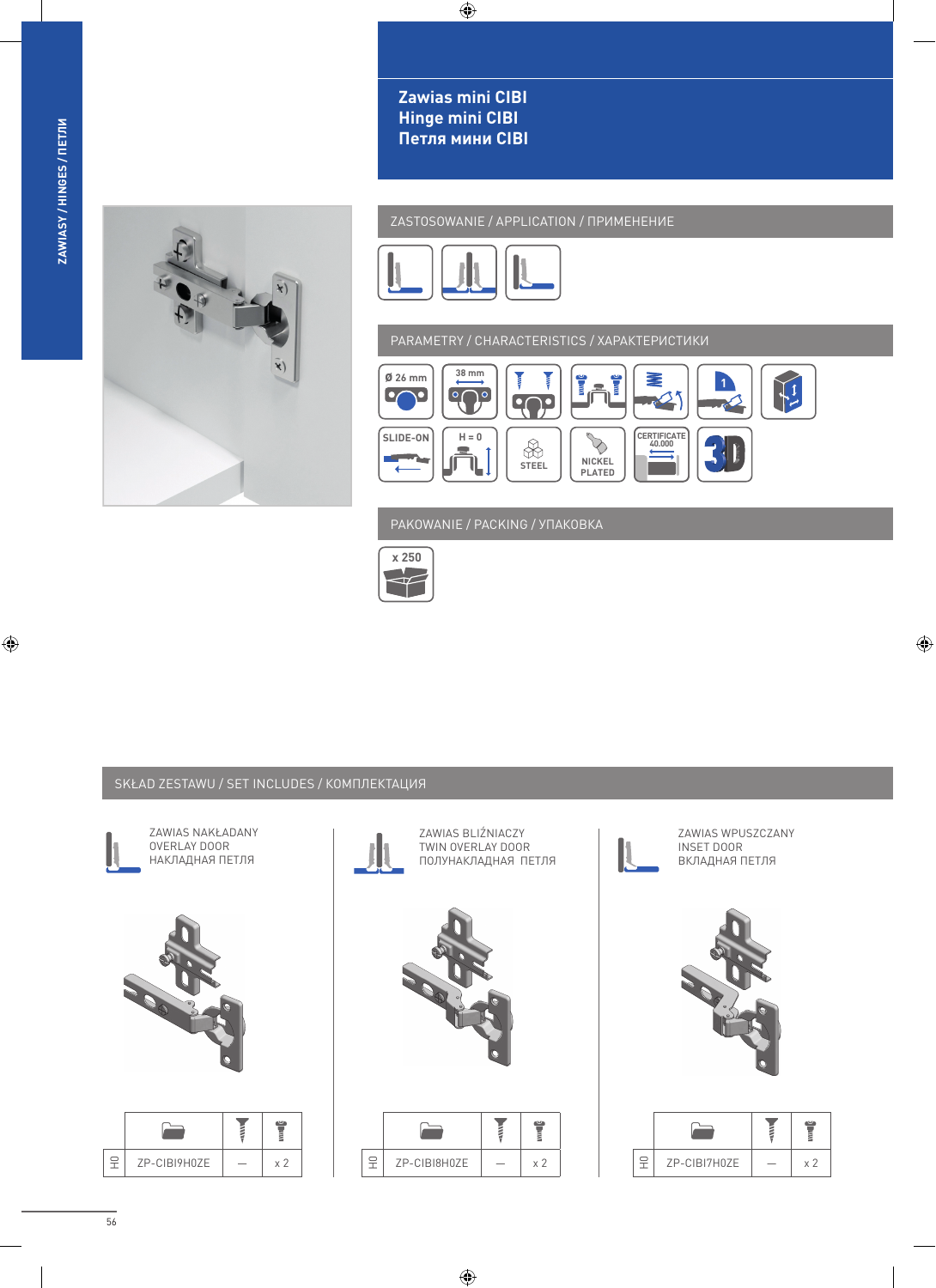$\bigoplus$ 



ZASTOSOWANIE / APPLICATION / ПРИМЕНЕНИЕ



 $\bigoplus$ 

Zawias mini CIBI **Hinge mini CIBI** 

Петля мини CIBI

PARAMETRY / CHARACTERISTICS / XAPAKTEPUCTUKU



PAKOWANIE / PACKING / YNAKOBKA



## SKŁAD ZESTAWU / SET INCLUDES / КОМПЛЕКТАЦИЯ



ZAWIAS NAKŁADANY OVERLAY DOOR НАКЛАДНАЯ ПЕТЛЯ



| ZP-CIBI9H0ZE |  |
|--------------|--|



| ZP-CIBI8H0ZE |  |
|--------------|--|





 $\bigoplus$ 

|  |  | ZP-CIBI7H0ZE |  |
|--|--|--------------|--|

56

 $\bigoplus$